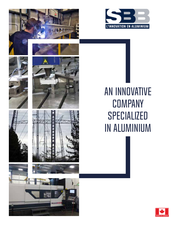









# AN INNOVATIVE **COMPANY** SPECIALIZED IN aluminium

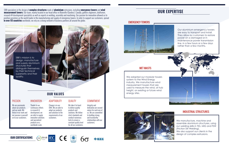### SBB's mission is to design, manufacture and supply aluminium structures that distinguish themselves by their technical superiority and their quality.

We are passionate about our products and our work. We thrive in our work and our passion is passedf on to our customers.

Thanks to our continuous efforts in research & development, we are able to supply

and specialized products on a worldwide scale.

innovative solutions Change is in our DNA. We are able to adapt our products and solutions to the requirements of our customers.

We take it to heart to deliver quality products and solutions. We follow strict standards and conduct numerous tests to ensure a constant quality level for all our customers.

We manufacture, machine and assemble aluminium structures, using our welding skills in TIG, MIG and FSW (Friction Stir Welding). We also support our clients in the design of complex extrusions.

Integrity and dedication are second nature for each one of us. We are committed to building strong and trustworthy relationships with our customers.

SBB specializes in the design of **complex structures** made of **aluminium** extrusions, including **emergency towers** and **wind measurement towers**. Our team, mainly located in our head office in Blainville (Quebec), Canada, gathers engineers, draftsmen, research @ development specialists as well as experts in welding, assembly and machining. Our passion for innovation allowed us to position ourselves as the world leader in the manufacturing and supply of emergency towers. In order to support our customers, spread **in over 55 countries** worldwide, we rely on a strong network of business partners all around the globe.

### PASSION









## **OUR EXPERTISE**



### INNOVATION ADAPTABILITY QUALITY COMMITMENT





### INDUSTRIAL STRUCTURES



### EMERGENCY TOWERS